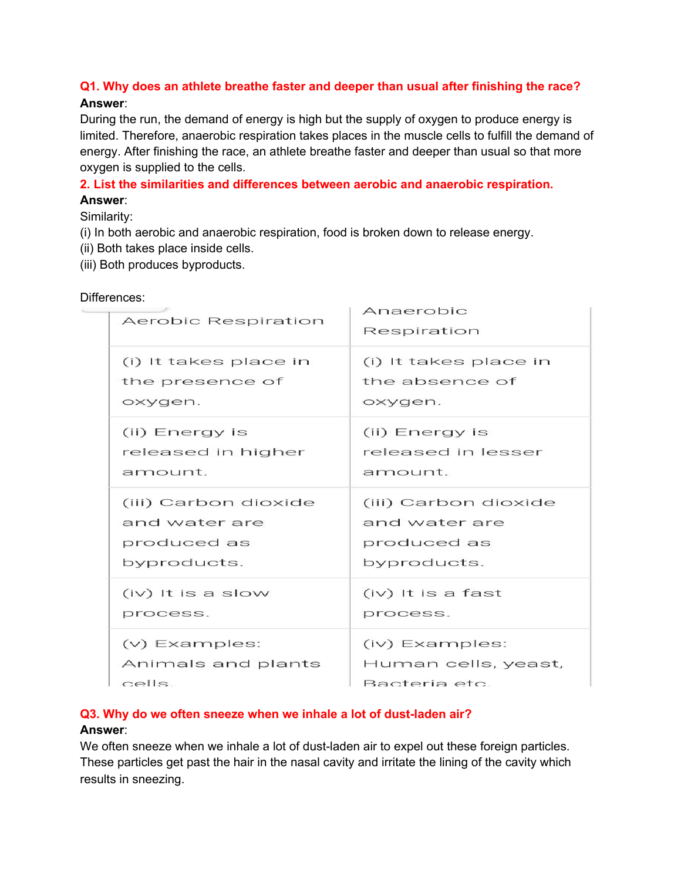# **Q1. Why does an athlete breathe faster and deeper than usual after finishing the race? Answer**:

During the run, the demand of energy is high but the supply of oxygen to produce energy is limited. Therefore, anaerobic respiration takes places in the muscle cells to fulfill the demand of energy. After finishing the race, an athlete breathe faster and deeper than usual so that more oxygen is supplied to the cells.

## **2. List the similarities and differences between aerobic and anaerobic respiration. Answer**:

### Similarity:

- (i) In both aerobic and anaerobic respiration, food is broken down to release energy.
- (ii) Both takes place inside cells.
- (iii) Both produces byproducts.

| Aerobic Respiration   | Anaerobic<br>Respiration |
|-----------------------|--------------------------|
| (i) It takes place in | (i) It takes place in    |
| the presence of       | the absence of           |
| oxygen.               | oxygen.                  |
| (ii) Energy is        | (ii) Energy is           |
| released in higher    | released in lesser       |
| amount.               | amount.                  |
| (iii) Carbon dioxide  | (iii) Carbon dioxide     |
| and water are         | and water are            |
| produced as           | produced as              |
| byproducts.           | byproducts.              |
| $(iv)$ It is a slow   | $(iv)$ It is a fast      |
| process.              | process.                 |
| (v) Examples:         | (iv) Examples:           |
| Animals and plants    | Human cells, yeast,      |
| cells                 | Bacteria etc.            |

## Differences:

#### **Q3. Why do we often sneeze when we inhale a lot of dust-laden air?**

#### **Answer**:

We often sneeze when we inhale a lot of dust-laden air to expel out these foreign particles. These particles get past the hair in the nasal cavity and irritate the lining of the cavity which results in sneezing.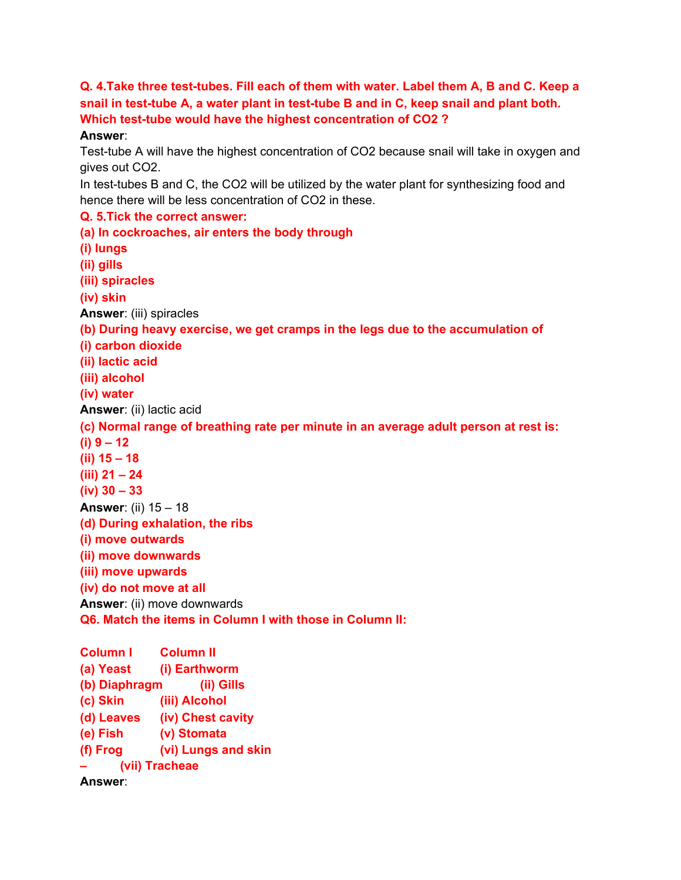**Q. 4.Take three test-tubes. Fill each of them with water. Label them A, B and C. Keep a snail in test-tube A, a water plant in test-tube B and in C, keep snail and plant both. Which test-tube would have the highest concentration of CO2 ?**

#### **Answer**:

Test-tube A will have the highest concentration of CO2 because snail will take in oxygen and gives out CO2.

In test-tubes B and C, the CO2 will be utilized by the water plant for synthesizing food and hence there will be less concentration of CO2 in these.

**Q. 5.Tick the correct answer: (a) In cockroaches, air enters the body through (i) lungs (ii) gills (iii) spiracles (iv) skin Answer**: (iii) spiracles **(b) During heavy exercise, we get cramps in the legs due to the accumulation of (i) carbon dioxide (ii) lactic acid (iii) alcohol (iv) water Answer**: (ii) lactic acid **(c) Normal range of breathing rate per minute in an average adult person at rest is: (i) 9 – 12 (ii) 15 – 18 (iii) 21 – 24 (iv) 30 – 33 Answer**: (ii) 15 – 18 **(d) During exhalation, the ribs (i) move outwards (ii) move downwards (iii) move upwards (iv) do not move at all Answer**: (ii) move downwards **Q6. Match the items in Column I with those in Column II: Column I Column II**

**(a) Yeast (i) Earthworm (b) Diaphragm (ii) Gills (c) Skin (iii) Alcohol (d) Leaves (iv) Chest cavity (e) Fish (v) Stomata (f) Frog (vi) Lungs and skin – (vii) Tracheae Answer**: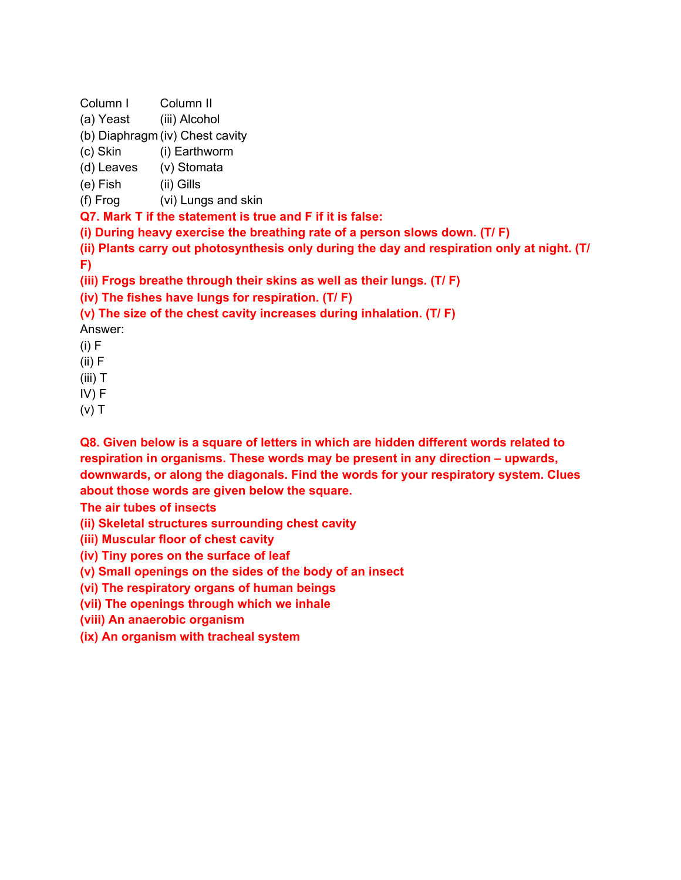Column I Column II

- (a) Yeast (iii) Alcohol
- (b) Diaphragm (iv) Chest cavity
- (c) Skin (i) Earthworm
- (d) Leaves (v) Stomata
- (e) Fish (ii) Gills
- (f) Frog (vi) Lungs and skin

**Q7. Mark T if the statement is true and F if it is false:**

**(i) During heavy exercise the breathing rate of a person slows down. (T/ F)**

**(ii) Plants carry out photosynthesis only during the day and respiration only at night. (T/**

**F)**

**(iii) Frogs breathe through their skins as well as their lungs. (T/ F)**

**(iv) The fishes have lungs for respiration. (T/ F)**

**(v) The size of the chest cavity increases during inhalation. (T/ F)**

- Answer:
- $(i) F$
- $(ii) F$
- (iii) T
- IV) F
- $(v)$  T

**Q8. Given below is a square of letters in which are hidden different words related to respiration in organisms. These words may be present in any direction – upwards, downwards, or along the diagonals. Find the words for your respiratory system. Clues about those words are given below the square.**

**The air tubes of insects**

**(ii) Skeletal structures surrounding chest cavity**

**(iii) Muscular floor of chest cavity**

**(iv) Tiny pores on the surface of leaf**

**(v) Small openings on the sides of the body of an insect**

**(vi) The respiratory organs of human beings**

**(vii) The openings through which we inhale**

**(viii) An anaerobic organism**

**(ix) An organism with tracheal system**